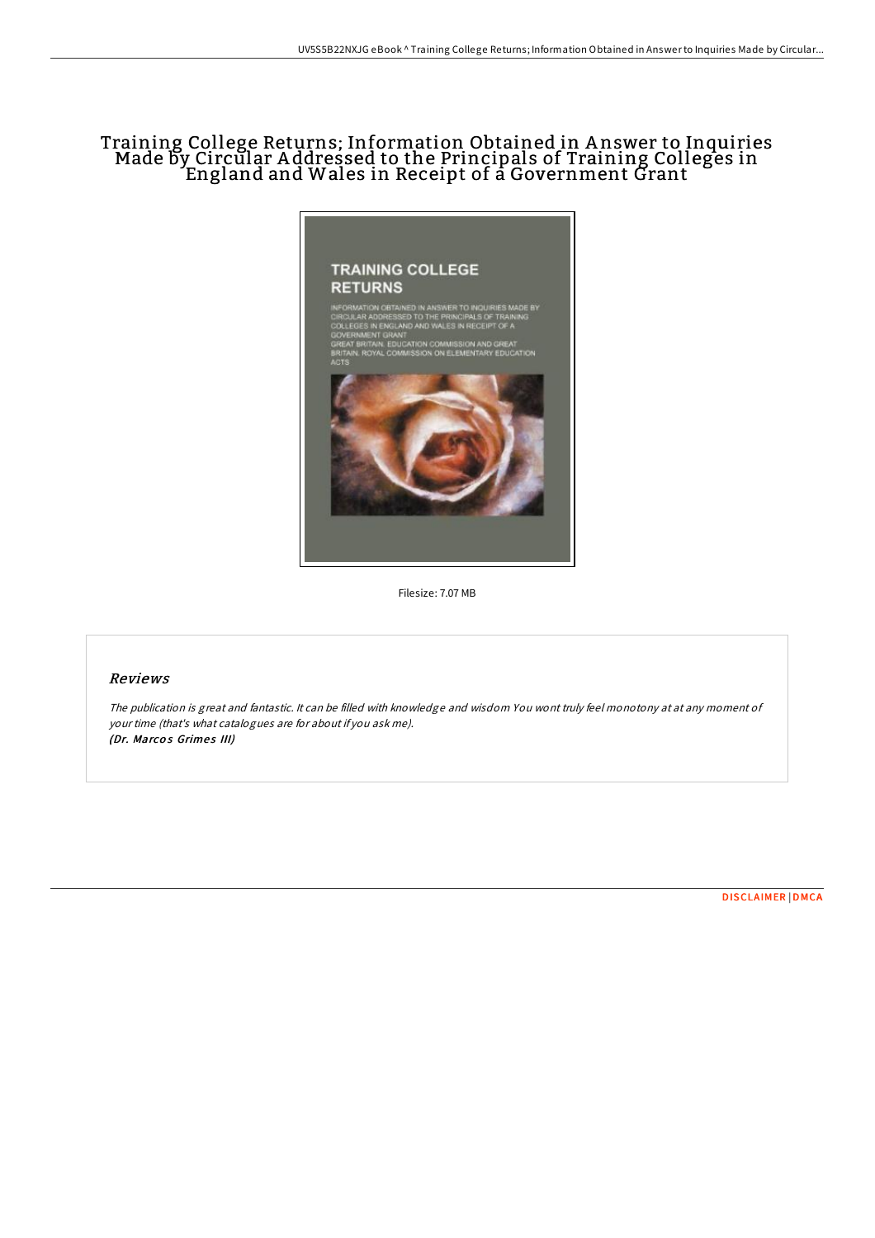## Training College Returns; Information Obtained in A nswer to Inquiries Made by Circular A ddressed to the Principals of Training Colleges in England and Wales in Receipt of a Government Grant



Filesize: 7.07 MB

## Reviews

The publication is great and fantastic. It can be filled with knowledge and wisdom You wont truly feel monotony at at any moment of your time (that's what catalogues are for about if you ask me). (Dr. Marcos Grimes III)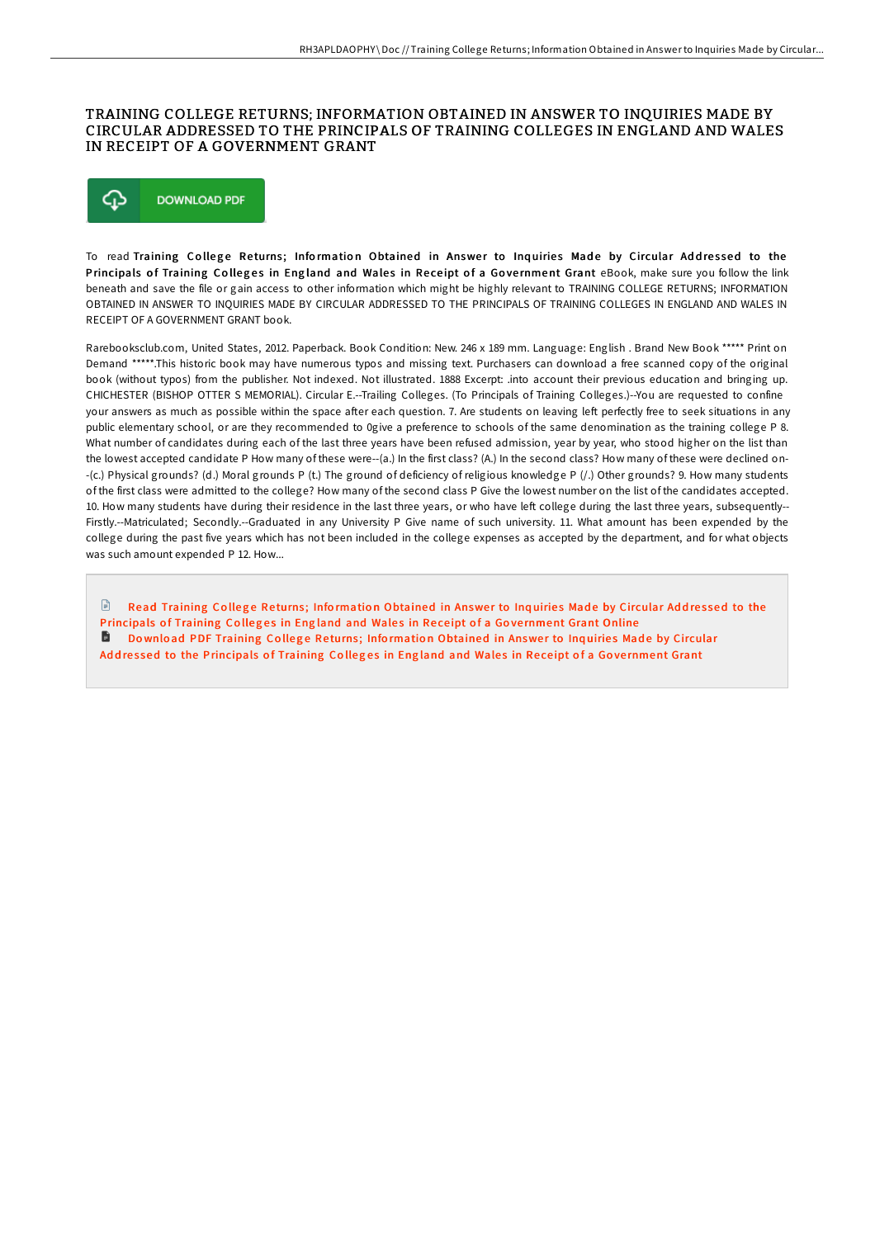## TRAINING COLLEGE RETURNS; INFORMATION OBTAINED IN ANSWER TO INQUIRIES MADE BY CIRCULAR ADDRESSED TO THE PRINCIPALS OF TRAINING COLLEGES IN ENGLAND AND WALES IN RECEIPT OF A GOVERNMENT GRANT



To read Training College Returns; Information Obtained in Answer to Inquiries Made by Circular Addressed to the Principals of Training Colleges in England and Wales in Receipt of a Government Grant eBook, make sure you follow the link beneath and save the file or gain access to other information which might be highly relevant to TRAINING COLLEGE RETURNS; INFORMATION OBTAINED IN ANSWER TO INQUIRIES MADE BY CIRCULAR ADDRESSED TO THE PRINCIPALS OF TRAINING COLLEGES IN ENGLAND AND WALES IN RECEIPT OF A GOVERNMENT GRANT book.

Rarebooksclub.com, United States, 2012. Paperback. Book Condition: New. 246 x 189 mm. Language: English . Brand New Book \*\*\*\*\* Print on Demand \*\*\*\*\*.This historic book may have numerous typos and missing text. Purchasers can download a free scanned copy of the original book (without typos) from the publisher. Not indexed. Not illustrated. 1888 Excerpt: .into account their previous education and bringing up. CHICHESTER (BISHOP OTTER S MEMORIAL). Circular E.--Trailing Colleges. (To Principals of Training Colleges.)--You are requested to confine your answers as much as possible within the space after each question. 7. Are students on leaving left perfectly free to seek situations in any public elementary school, or are they recommended to 0give a preference to schools of the same denomination as the training college P 8. What number of candidates during each of the last three years have been refused admission, year by year, who stood higher on the list than the lowest accepted candidate P How many of these were--(a.) In the first class? (A.) In the second class? How many of these were declined on- -(c.) Physical grounds? (d.) Moral grounds P (t.) The ground of deficiency of religious knowledge P (/.) Other grounds? 9. How many students of the first class were admitted to the college? How many of the second class P Give the lowest number on the list of the candidates accepted. 10. How many students have during their residence in the last three years, or who have left college during the last three years, subsequently--Firstly.--Matriculated; Secondly.--Graduated in any University P Give name of such university. 11. What amount has been expended by the college during the past five years which has not been included in the college expenses as accepted by the department, and for what objects was such amount expended P 12. How...

 $\mathbb{P}$ Read Training College Returns; Information Obtained in Answer to Inquiries Made by Circular Addressed to the [Principals](http://almighty24.tech/training-college-returns-information-obtained-in.html) of Training Colleges in England and Wales in Receipt of a Government Grant Online Download PDF Training College Returns; Information Obtained in Answer to Inquiries Made by Circular Addressed to the [Principals](http://almighty24.tech/training-college-returns-information-obtained-in.html) of Training Colleges in England and Wales in Receipt of a Government Grant